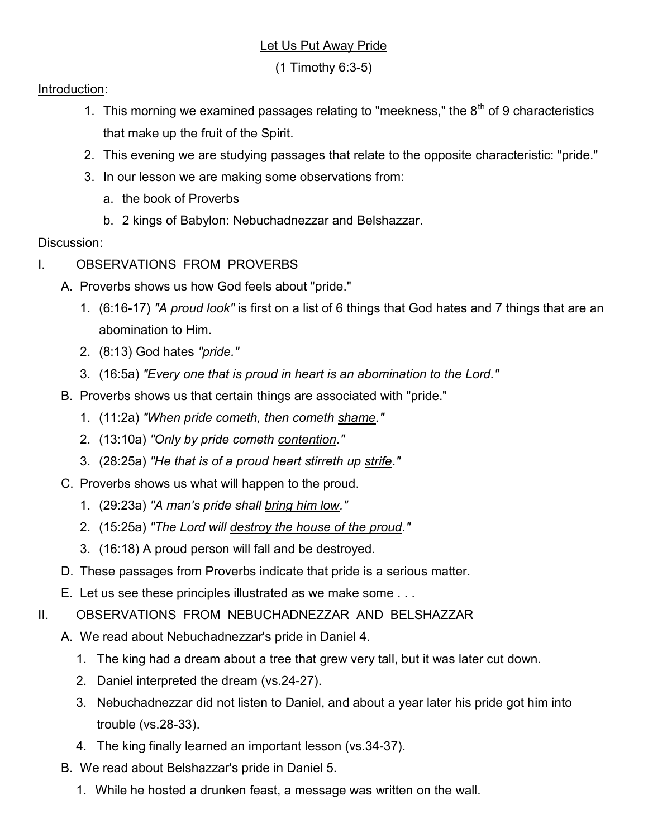## Let Us Put Away Pride

(1 Timothy 6:3-5)

## Introduction:

- 1. This morning we examined passages relating to "meekness," the  $8<sup>th</sup>$  of 9 characteristics that make up the fruit of the Spirit.
- 2. This evening we are studying passages that relate to the opposite characteristic: "pride."
- 3. In our lesson we are making some observations from:
	- a. the book of Proverbs
	- b. 2 kings of Babylon: Nebuchadnezzar and Belshazzar.

## Discussion:

- I. OBSERVATIONS FROM PROVERBS
	- A. Proverbs shows us how God feels about "pride."
		- 1. (6:16-17) "A proud look" is first on a list of 6 things that God hates and 7 things that are an abomination to Him.
		- 2. (8:13) God hates "pride."
		- 3. (16:5a) "Every one that is proud in heart is an abomination to the Lord."
	- B. Proverbs shows us that certain things are associated with "pride."
		- 1. (11:2a) "When pride cometh, then cometh shame."
		- 2. (13:10a) "Only by pride cometh contention."
		- 3. (28:25a) "He that is of a proud heart stirreth up strife."
	- C. Proverbs shows us what will happen to the proud.
		- 1. (29:23a) "A man's pride shall bring him low."
		- 2. (15:25a) "The Lord will destroy the house of the proud."
		- 3. (16:18) A proud person will fall and be destroyed.
	- D. These passages from Proverbs indicate that pride is a serious matter.
	- E. Let us see these principles illustrated as we make some . . .
- II. OBSERVATIONS FROM NEBUCHADNEZZAR AND BELSHAZZAR
	- A. We read about Nebuchadnezzar's pride in Daniel 4.
		- 1. The king had a dream about a tree that grew very tall, but it was later cut down.
		- 2. Daniel interpreted the dream (vs.24-27).
		- 3. Nebuchadnezzar did not listen to Daniel, and about a year later his pride got him into trouble (vs.28-33).
		- 4. The king finally learned an important lesson (vs.34-37).
	- B. We read about Belshazzar's pride in Daniel 5.
		- 1. While he hosted a drunken feast, a message was written on the wall.